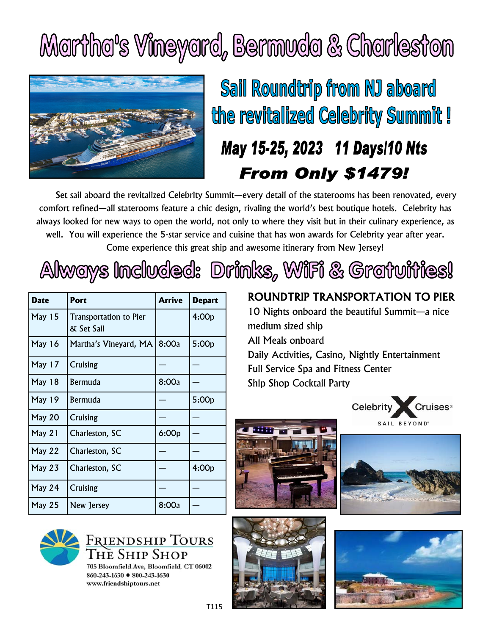## Martha's Vineyard, Bermuda & Charleston



Sail Roundtrip from NJ aboard the revitalized Celebrity Summit!

## May 15-25, 2023 11 Days/10 Nts **From Only \$1479!**

Set sail aboard the revitalized Celebrity Summit—every detail of the staterooms has been renovated, every comfort refined—all staterooms feature a chic design, rivaling the world's best boutique hotels. Celebrity has always looked for new ways to open the world, not only to where they visit but in their culinary experience, as well. You will experience the 5-star service and cuisine that has won awards for Celebrity year after year. Come experience this great ship and awesome itinerary from New Jersey!

| Always Included: Drinks, WiFi & Gratuities! |  |  |  |
|---------------------------------------------|--|--|--|
|---------------------------------------------|--|--|--|

| <b>Date</b>   | Port                                        | Arrive | <b>Depart</b> |
|---------------|---------------------------------------------|--------|---------------|
| <b>May 15</b> | <b>Transportation to Pier</b><br>& Set Sail |        | 4:00p         |
| <b>May 16</b> | Martha's Vineyard, MA                       | 8:00a  | 5:00p         |
| May 17        | <b>Cruising</b>                             |        |               |
| <b>May 18</b> | Bermuda                                     | 8:00a  |               |
| May 19        | Bermuda                                     |        | 5:00p         |
| May 20        | Cruising                                    |        |               |
| May 21        | Charleston, SC                              | 6:00p  |               |
| May $22$      | Charleston, SC                              |        |               |
| May 23        | Charleston, SC                              |        | 4:00p         |
| May 24        | <b>Cruising</b>                             |        |               |
| <b>May 25</b> | New Jersey                                  | 8:00a  |               |

ROUNDTRIP TRANSPORTATION TO PIER 10 Nights onboard the beautiful Summit—a nice medium sized ship All Meals onboard

Daily Activities, Casino, Nightly Entertainment Full Service Spa and Fitness Center Ship Shop Cocktail Party